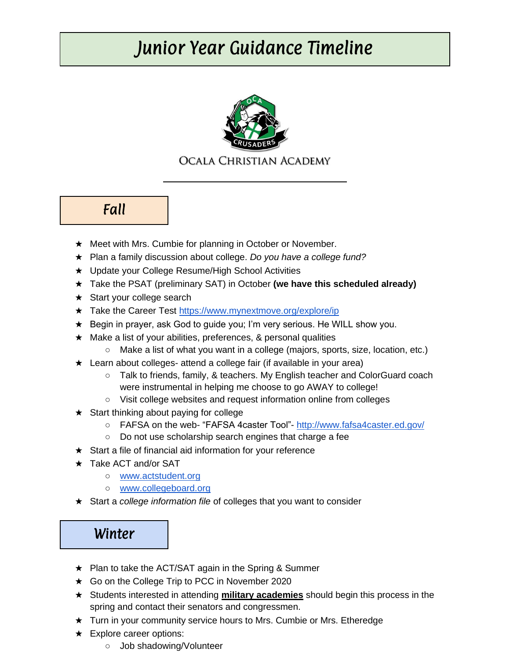# Junior Year Guidance Timeline



#### OCALA CHRISTIAN ACADEMY

Fall

- ★ Meet with Mrs. Cumbie for planning in October or November.
- ★ Plan a family discussion about college. *Do you have a college fund?*
- ★ Update your College Resume/High School Activities
- ★ Take the PSAT (preliminary SAT) in October **(we have this scheduled already)**
- ★ Start your college search
- ★ Take the Career Test<https://www.mynextmove.org/explore/ip>
- ★ Begin in prayer, ask God to guide you; I'm very serious. He WILL show you.
- ★ Make a list of your abilities, preferences, & personal qualities
	- Make a list of what you want in a college (majors, sports, size, location, etc.)
- ★ Learn about colleges- attend a college fair (if available in your area)
	- Talk to friends, family, & teachers. My English teacher and ColorGuard coach were instrumental in helping me choose to go AWAY to college!
	- Visit college websites and request information online from colleges
- $\star$  Start thinking about paying for college
	- FAFSA on the web- "FAFSA 4caster Tool"- <http://www.fafsa4caster.ed.gov/>
	- Do not use scholarship search engines that charge a fee
- $\star$  Start a file of financial aid information for your reference
- ★ Take ACT and/or SAT
	- [www.actstudent.org](http://www.actstudent.org/)
	- [www.collegeboard.org](http://www.collegeboard.org/)
- ★ Start a *college information file* of colleges that you want to consider

### Winter

- ★ Plan to take the ACT/SAT again in the Spring & Summer
- ★ Go on the College Trip to PCC in November 2020
- ★ Students interested in attending **military academies** should begin this process in the spring and contact their senators and congressmen.
- ★ Turn in your community service hours to Mrs. Cumbie or Mrs. Etheredge
- ★ Explore career options:
	- Job shadowing/Volunteer